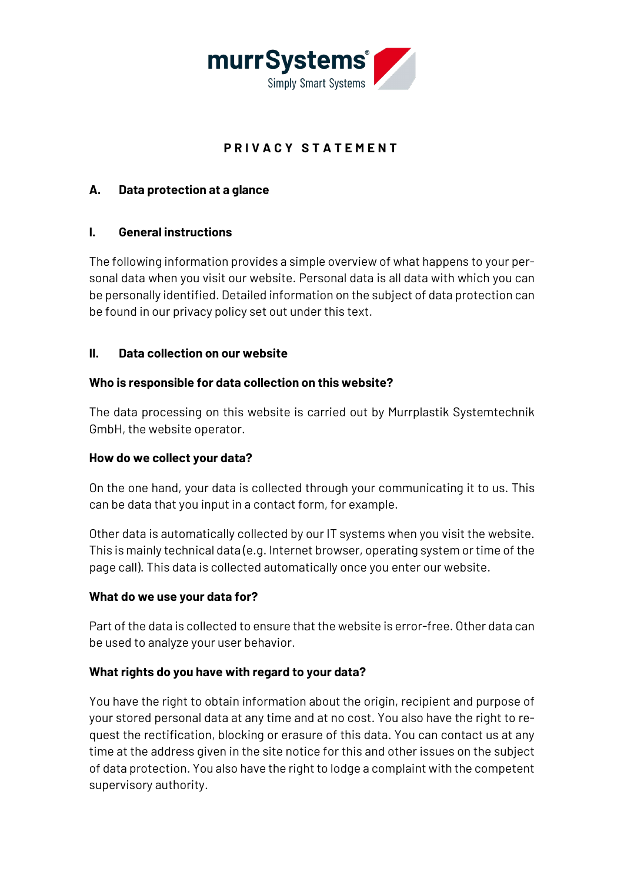

# **PRIVACY STATEMENT**

### **A. Data protection at a glance**

### **I. General instructions**

The following information provides a simple overview of what happens to your personal data when you visit our website. Personal data is all data with which you can be personally identified. Detailed information on the subject of data protection can be found in our privacy policy set out under this text.

### **II. Data collection on our website**

### **Who is responsible for data collection on this website?**

The data processing on this website is carried out by Murrplastik Systemtechnik GmbH, the website operator.

### **How do we collect your data?**

On the one hand, your data is collected through your communicating it to us. This can be data that you input in a contact form, for example.

Other data is automatically collected by our IT systems when you visit the website. This is mainly technical data (e.g. Internet browser, operating system or time of the page call). This data is collected automatically once you enter our website.

### **What do we use your data for?**

Part of the data is collected to ensure that the website is error-free. Other data can be used to analyze your user behavior.

### **What rights do you have with regard to your data?**

You have the right to obtain information about the origin, recipient and purpose of your stored personal data at any time and at no cost. You also have the right to request the rectification, blocking or erasure of this data. You can contact us at any time at the address given in the site notice for this and other issues on the subject of data protection. You also have the right to lodge a complaint with the competent supervisory authority.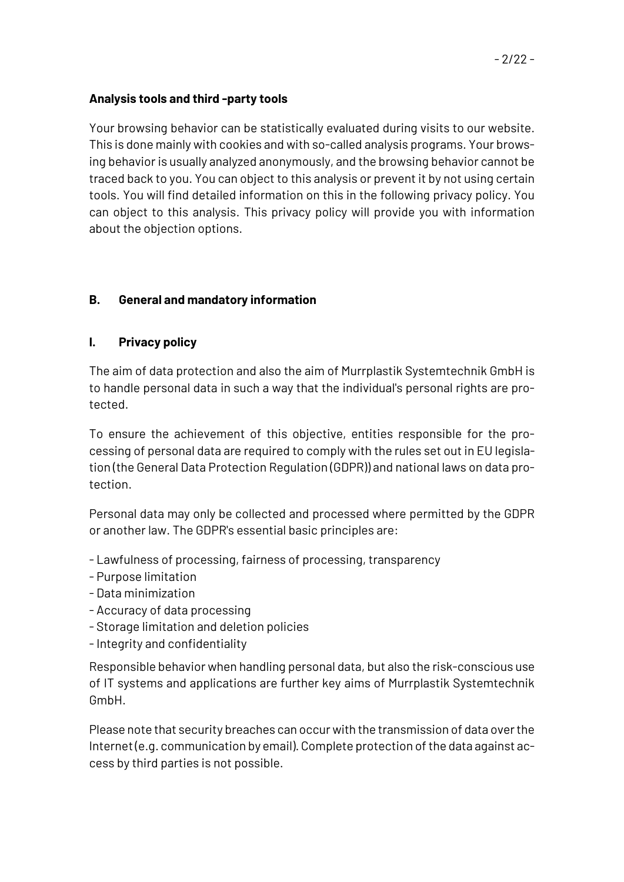## **Analysis tools and third -party tools**

Your browsing behavior can be statistically evaluated during visits to our website. This is done mainly with cookies and with so-called analysis programs. Your browsing behavior is usually analyzed anonymously, and the browsing behavior cannot be traced back to you. You can object to this analysis or prevent it by not using certain tools. You will find detailed information on this in the following privacy policy. You can object to this analysis. This privacy policy will provide you with information about the objection options.

# **B. General and mandatory information**

## **I. Privacy policy**

The aim of data protection and also the aim of Murrplastik Systemtechnik GmbH is to handle personal data in such a way that the individual's personal rights are protected.

To ensure the achievement of this objective, entities responsible for the processing of personal data are required to comply with the rules set out in EU legislation (the General Data Protection Regulation (GDPR)) and national laws on data protection.

Personal data may only be collected and processed where permitted by the GDPR or another law. The GDPR's essential basic principles are:

- Lawfulness of processing, fairness of processing, transparency
- Purpose limitation
- Data minimization
- Accuracy of data processing
- Storage limitation and deletion policies
- -Integrity and confidentiality

Responsible behavior when handling personal data, but also the risk-conscious use of IT systems and applications are further key aims of Murrplastik Systemtechnik GmbH.

Please note that security breaches can occur with the transmission of data over the Internet (e.g. communication by email). Complete protection of the data against access by third parties is not possible.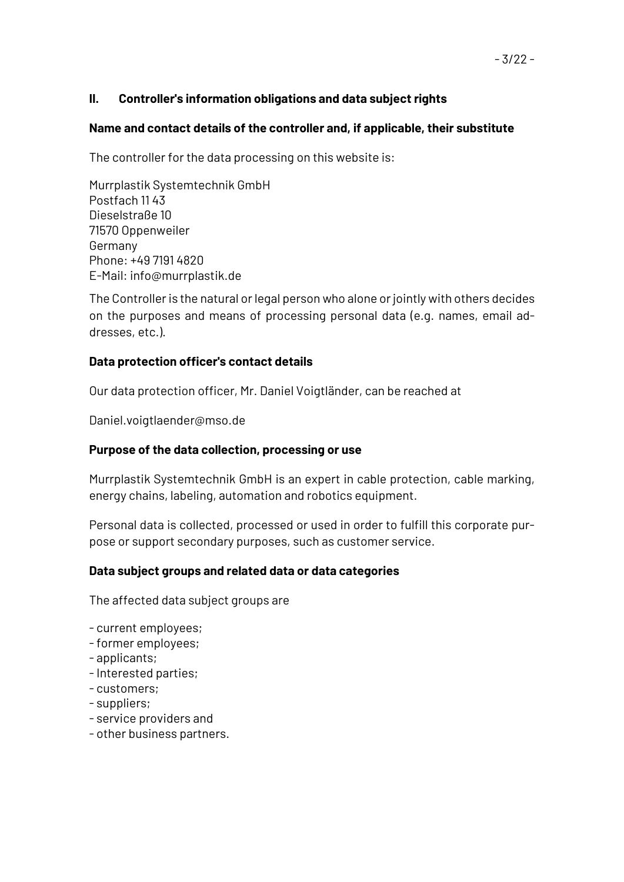## **II. Controller's information obligations and data subject rights**

### **Name and contact details of the controller and, if applicable, their substitute**

The controller for the data processing on this website is:

Murrplastik Systemtechnik GmbH Postfach 11 43 Dieselstraße 10 71570 Oppenweiler Germany Phone: +49 7191 4820 E-Mail: info@murrplastik.de

The Controller is the natural or legal person who alone or jointly with others decides on the purposes and means of processing personal data (e.g. names, email addresses, etc.).

### **Data protection officer's contact details**

Our data protection officer, Mr. Daniel Voigtländer, can be reached at

Daniel.voigtlaender@mso.de

### **Purpose of the data collection, processing or use**

Murrplastik Systemtechnik GmbH is an expert in cable protection, cable marking, energy chains, labeling, automation and robotics equipment.

Personal data is collected, processed or used in order to fulfill this corporate purpose or support secondary purposes, such as customer service.

### **Data subject groups and related data or data categories**

The affected data subject groups are

- current employees;
- -former employees;
- applicants;
- -Interested parties;
- customers;
- suppliers;
- service providers and
- other business partners.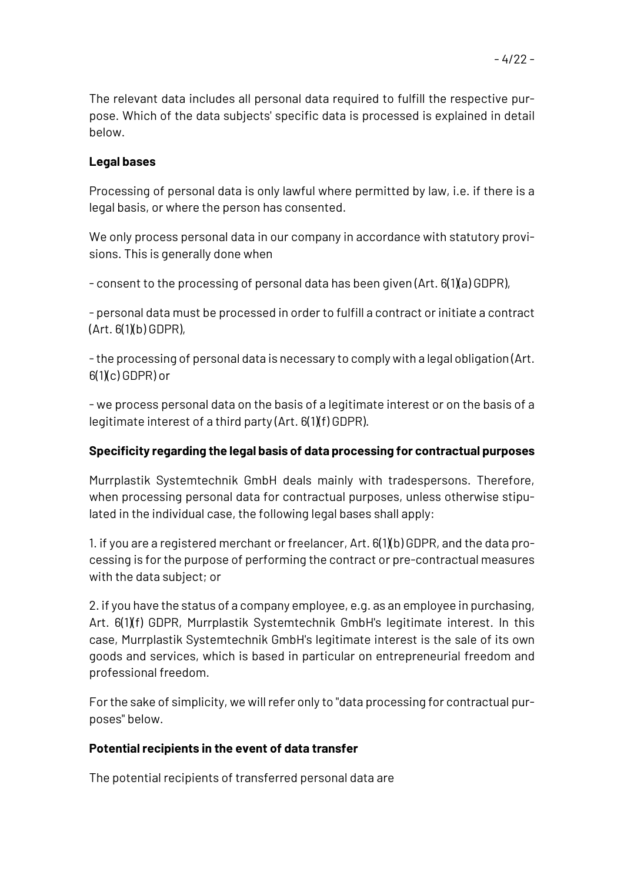The relevant data includes all personal data required to fulfill the respective purpose. Which of the data subjects' specific data is processed is explained in detail below.

### **Legal bases**

Processing of personal data is only lawful where permitted by law, i.e. if there is a legal basis, or where the person has consented.

We only process personal data in our company in accordance with statutory provisions. This is generally done when

- consent to the processing of personal data has been given (Art. 6(1)(a) GDPR),

- personal data must be processed in order to fulfill a contract or initiate a contract  $(Art. 6(1)(b) GDPR)$ 

-the processing of personal data is necessary to comply with a legal obligation (Art.  $6(1)(c)$  GDPR) or

- we process personal data on the basis of a legitimate interest or on the basis of a legitimate interest of a third party (Art. 6(1)(f) GDPR).

### **Specificity regarding the legal basis of data processing for contractual purposes**

Murrplastik Systemtechnik GmbH deals mainly with tradespersons. Therefore, when processing personal data for contractual purposes, unless otherwise stipulated in the individual case, the following legal bases shall apply:

1. if you are a registered merchant or freelancer, Art. 6(1)(b) GDPR, and the data processing is for the purpose of performing the contract or pre-contractual measures with the data subject; or

2. if you have the status of a company employee, e.g. as an employee in purchasing, Art. 6(1)(f) GDPR, Murrplastik Systemtechnik GmbH's legitimate interest. In this case, Murrplastik Systemtechnik GmbH's legitimate interest is the sale of its own goods and services, which is based in particular on entrepreneurial freedom and professional freedom.

For the sake of simplicity, we will refer only to "data processing for contractual purposes" below.

### **Potential recipients in the event of data transfer**

The potential recipients of transferred personal data are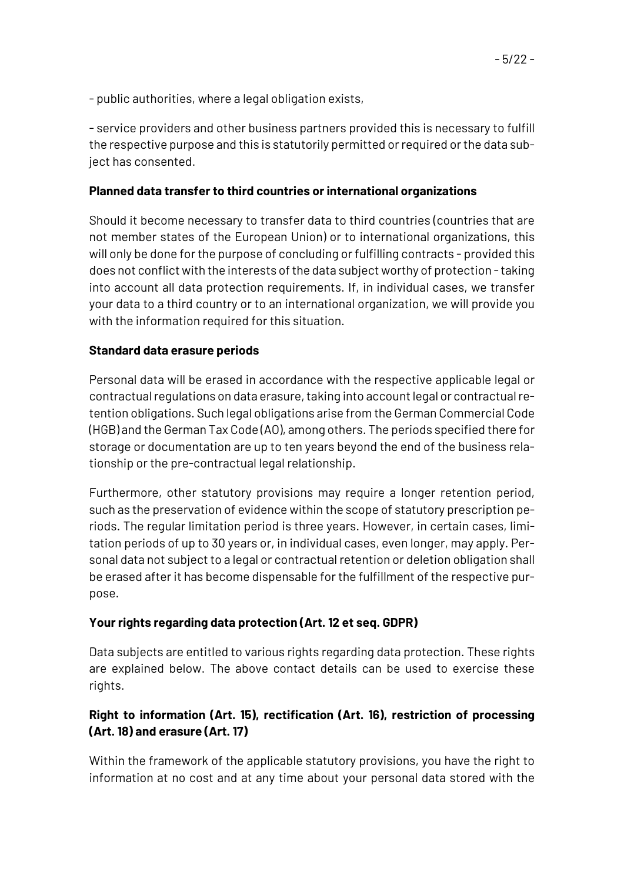- service providers and other business partners provided this is necessary to fulfill the respective purpose and this is statutorily permitted or required or the data subject has consented.

# **Planned data transfer to third countries or international organizations**

Should it become necessary to transfer data to third countries (countries that are not member states of the European Union) or to international organizations, this will only be done for the purpose of concluding or fulfilling contracts - provided this does not conflict with the interests of the data subject worthy of protection -taking into account all data protection requirements. If, in individual cases, we transfer your data to a third country or to an international organization, we will provide you with the information required for this situation.

## **Standard data erasure periods**

Personal data will be erased in accordance with the respective applicable legal or contractual regulations on data erasure, taking into account legal or contractual retention obligations. Such legal obligations arise from the German Commercial Code (HGB) and the German Tax Code (AO), among others. The periods specified there for storage or documentation are up to ten years beyond the end of the business relationship or the pre-contractual legal relationship.

Furthermore, other statutory provisions may require a longer retention period, such as the preservation of evidence within the scope of statutory prescription periods. The regular limitation period is three years. However, in certain cases, limitation periods of up to 30 years or, in individual cases, even longer, may apply. Personal data not subject to a legal or contractual retention or deletion obligation shall be erased after it has become dispensable for the fulfillment of the respective purpose.

# **Your rights regarding data protection (Art. 12 et seq. GDPR)**

Data subjects are entitled to various rights regarding data protection. These rights are explained below. The above contact details can be used to exercise these rights.

# **Right to information (Art. 15), rectification (Art. 16), restriction of processing (Art. 18) and erasure (Art. 17)**

Within the framework of the applicable statutory provisions, you have the right to information at no cost and at any time about your personal data stored with the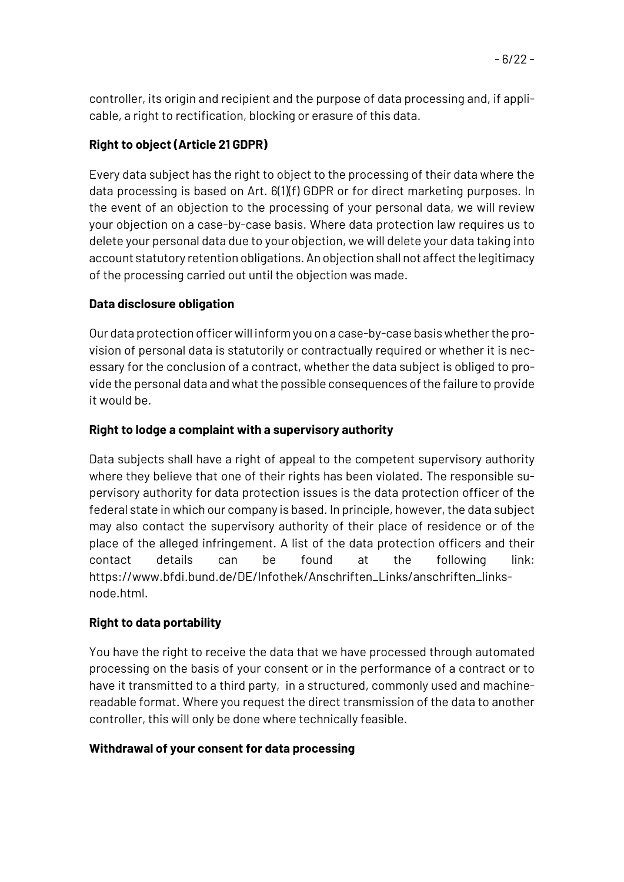controller, its origin and recipient and the purpose of data processing and, if applicable, a right to rectification, blocking or erasure of this data.

# **Right to object (Article 21 GDPR)**

Every data subject has the right to object to the processing of their data where the data processing is based on Art. 6(1)(f) GDPR or for direct marketing purposes. In the event of an objection to the processing of your personal data, we will review your objection on a case-by-case basis. Where data protection law requires us to delete your personal data due to your objection, we will delete your data taking into account statutory retention obligations. An objection shall not affect the legitimacy of the processing carried out until the objection was made.

## **Data disclosure obligation**

Our data protection officer will inform you on a case-by-case basis whether the provision of personal data is statutorily or contractually required or whether it is necessary for the conclusion of a contract, whether the data subject is obliged to provide the personal data and what the possible consequences of the failure to provide it would be.

## **Right to lodge a complaint with a supervisory authority**

Data subjects shall have a right of appeal to the competent supervisory authority where they believe that one of their rights has been violated. The responsible supervisory authority for data protection issues is the data protection officer of the federal state in which our company is based. In principle, however, the data subject may also contact the supervisory authority of their place of residence or of the place of the alleged infringement. A list of the data protection officers and their contact details can be found at the following link: https://www.bfdi.bund.de/DE/Infothek/Anschriften\_Links/anschriften\_linksnode.html.

# **Right to data portability**

You have the right to receive the data that we have processed through automated processing on the basis of your consent or in the performance of a contract or to have it transmitted to a third party, in a structured, commonly used and machinereadable format. Where you request the direct transmission of the data to another controller, this will only be done where technically feasible.

### **Withdrawal of your consent for data processing**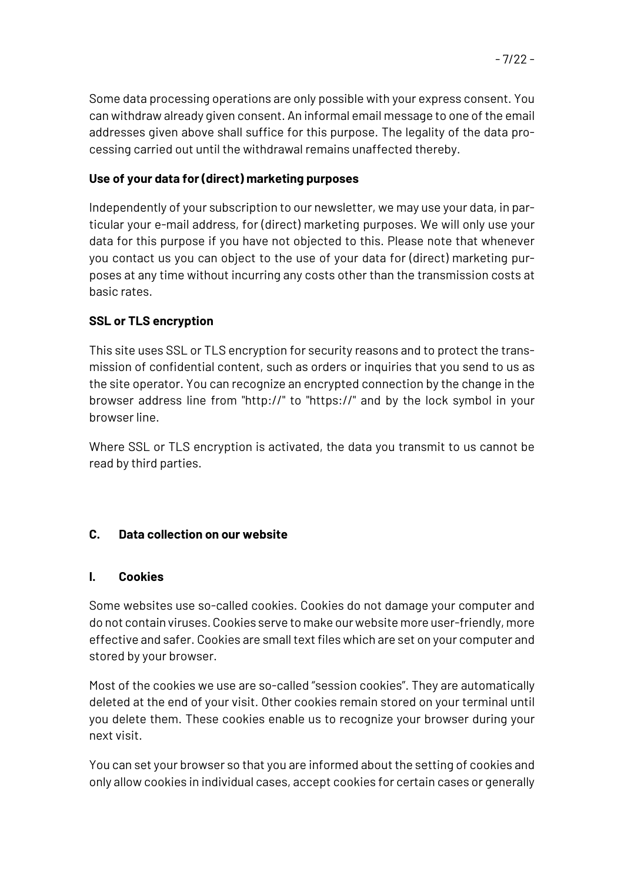Some data processing operations are only possible with your express consent. You can withdraw already given consent. An informal email message to one of the email addresses given above shall suffice for this purpose. The legality of the data processing carried out until the withdrawal remains unaffected thereby.

# **Use of your data for (direct) marketing purposes**

Independently of your subscription to our newsletter, we may use your data, in particular your e-mail address, for (direct) marketing purposes. We will only use your data for this purpose if you have not objected to this. Please note that whenever you contact us you can object to the use of your data for (direct) marketing purposes at any time without incurring any costs other than the transmission costs at basic rates.

# **SSL or TLS encryption**

This site uses SSL or TLS encryption for security reasons and to protect the transmission of confidential content, such as orders or inquiries that you send to us as the site operator. You can recognize an encrypted connection by the change in the browser address line from "http://" to "https://" and by the lock symbol in your browser line.

Where SSL or TLS encryption is activated, the data you transmit to us cannot be read by third parties.

# **C. Data collection on our website**

# **I. Cookies**

Some websites use so-called cookies. Cookies do not damage your computer and do not contain viruses. Cookies serve to make our website more user-friendly, more effective and safer. Cookies are small text files which are set on your computer and stored by your browser.

Most of the cookies we use are so-called "session cookies". They are automatically deleted at the end of your visit. Other cookies remain stored on your terminal until you delete them. These cookies enable us to recognize your browser during your next visit.

You can set your browser so that you are informed about the setting of cookies and only allow cookies in individual cases, accept cookies for certain cases or generally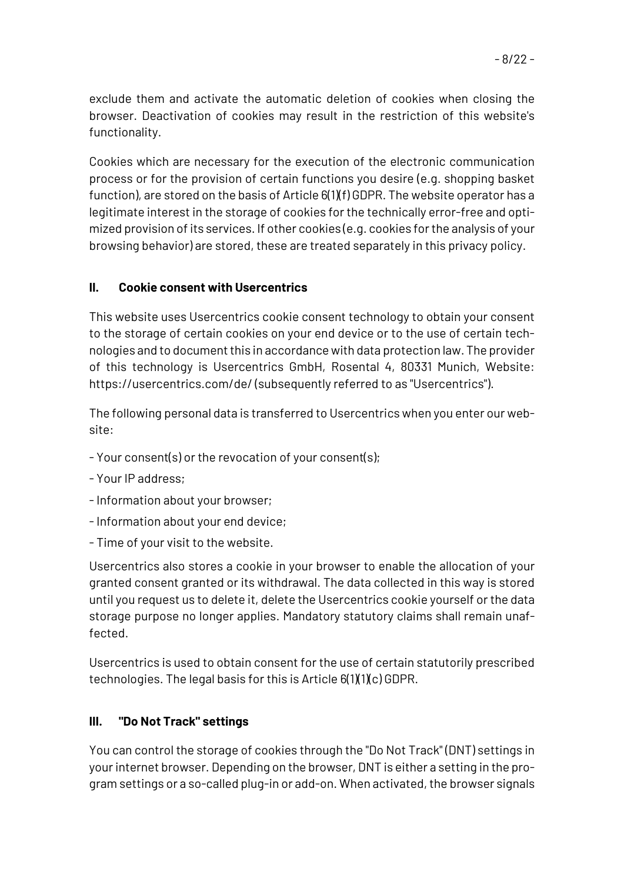exclude them and activate the automatic deletion of cookies when closing the browser. Deactivation of cookies may result in the restriction of this website's functionality.

Cookies which are necessary for the execution of the electronic communication process or for the provision of certain functions you desire (e.g. shopping basket function), are stored on the basis of Article  $6(1)(f)$  GDPR. The website operator has a legitimate interest in the storage of cookies for the technically error-free and optimized provision of its services. If other cookies (e.g. cookies for the analysis of your browsing behavior) are stored, these are treated separately in this privacy policy.

### **II. Cookie consent with Usercentrics**

This website uses Usercentrics cookie consent technology to obtain your consent to the storage of certain cookies on your end device or to the use of certain technologies and to document this in accordance with data protection law. The provider of this technology is Usercentrics GmbH, Rosental 4, 80331 Munich, Website: https://usercentrics.com/de/ (subsequently referred to as "Usercentrics").

The following personal data is transferred to Usercentrics when you enter our website:

- Your consent(s) or the revocation of your consent(s);
- Your IP address;
- -Information about your browser;
- -Information about your end device;
- Time of your visit to the website.

Usercentrics also stores a cookie in your browser to enable the allocation of your granted consent granted or its withdrawal. The data collected in this way is stored until you request us to delete it, delete the Usercentrics cookie yourself or the data storage purpose no longer applies. Mandatory statutory claims shall remain unaffected.

Usercentrics is used to obtain consent for the use of certain statutorily prescribed technologies. The legal basis for this is Article 6(1)(1)(c) GDPR.

### **III. "Do Not Track" settings**

You can control the storage of cookies through the "Do Not Track" (DNT) settings in your internet browser. Depending on the browser, DNT is either a setting in the program settings or a so-called plug-in or add-on. When activated, the browser signals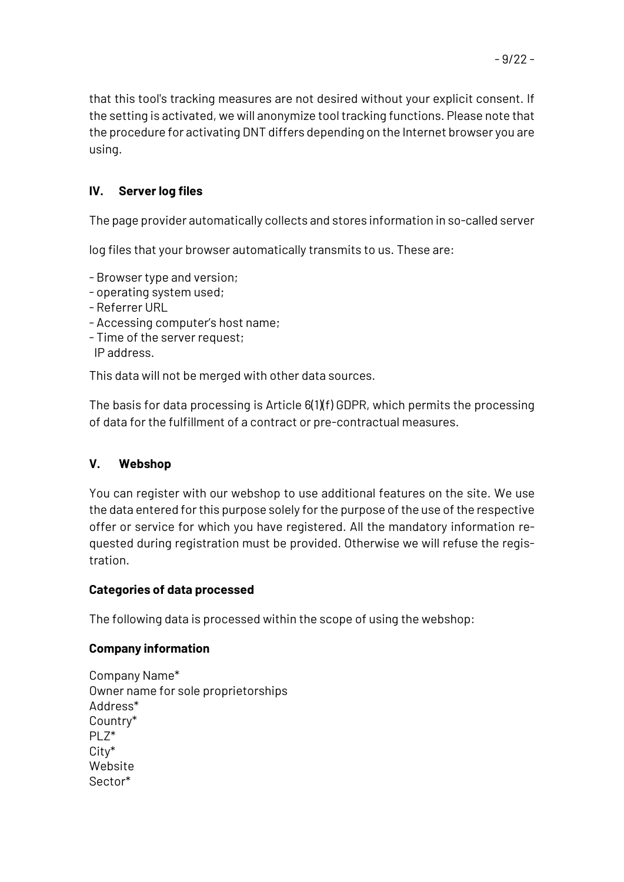that this tool's tracking measures are not desired without your explicit consent. If the setting is activated, we will anonymize tool tracking functions. Please note that the procedure for activating DNT differs depending on the Internet browser you are using.

# **IV. Server log files**

The page provider automatically collects and stores information in so-called server

log files that your browser automatically transmits to us. These are:

- Browser type and version;
- operating system used;
- Referrer URL
- Accessing computer's host name;
- Time of the server request; IP address.

This data will not be merged with other data sources.

The basis for data processing is Article  $6(1)(f)$  GDPR, which permits the processing of data for the fulfillment of a contract or pre-contractual measures.

# **V. Webshop**

You can register with our webshop to use additional features on the site. We use the data entered for this purpose solely for the purpose of the use of the respective offer or service for which you have registered. All the mandatory information requested during registration must be provided. Otherwise we will refuse the registration.

### **Categories of data processed**

The following data is processed within the scope of using the webshop:

### **Company information**

Company Name\* Owner name for sole proprietorships Address\* Country\* PLZ\* City\* Website Sector\*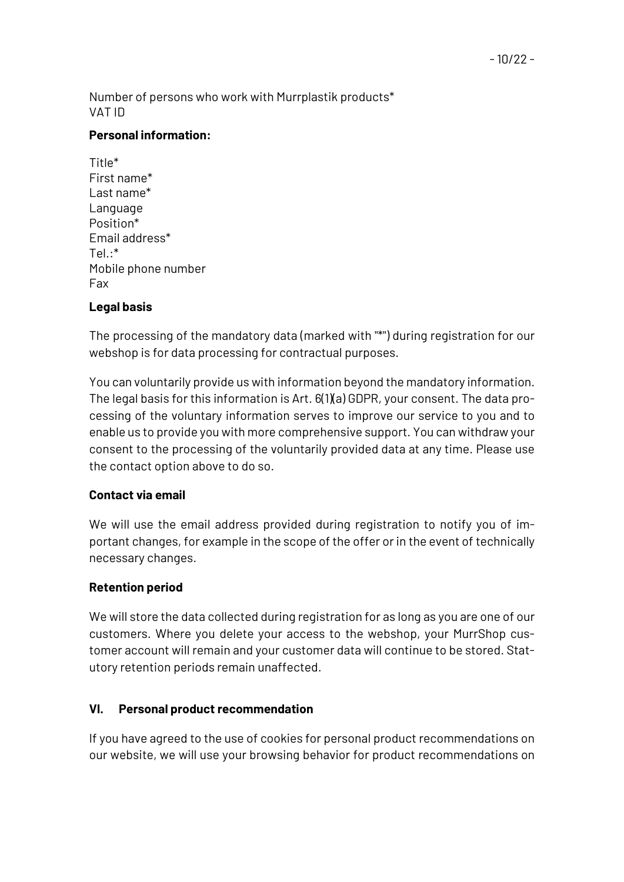Number of persons who work with Murrplastik products\* VAT ID

### **Personal information:**

Title\* First name\* Last name\* Language Position\* Email address\*  $Te$ .\* Mobile phone number Fax

## **Legal basis**

The processing of the mandatory data (marked with "\*") during registration for our webshop is for data processing for contractual purposes.

You can voluntarily provide us with information beyond the mandatory information. The legal basis for this information is Art. 6(1)(a) GDPR, your consent. The data processing of the voluntary information serves to improve our service to you and to enable us to provide you with more comprehensive support. You can withdraw your consent to the processing of the voluntarily provided data at any time. Please use the contact option above to do so.

### **Contact via email**

We will use the email address provided during registration to notify you of important changes, for example in the scope of the offer or in the event of technically necessary changes.

# **Retention period**

We will store the data collected during registration for as long as you are one of our customers. Where you delete your access to the webshop, your MurrShop customer account will remain and your customer data will continue to be stored. Statutory retention periods remain unaffected.

### **VI. Personal product recommendation**

If you have agreed to the use of cookies for personal product recommendations on our website, we will use your browsing behavior for product recommendations on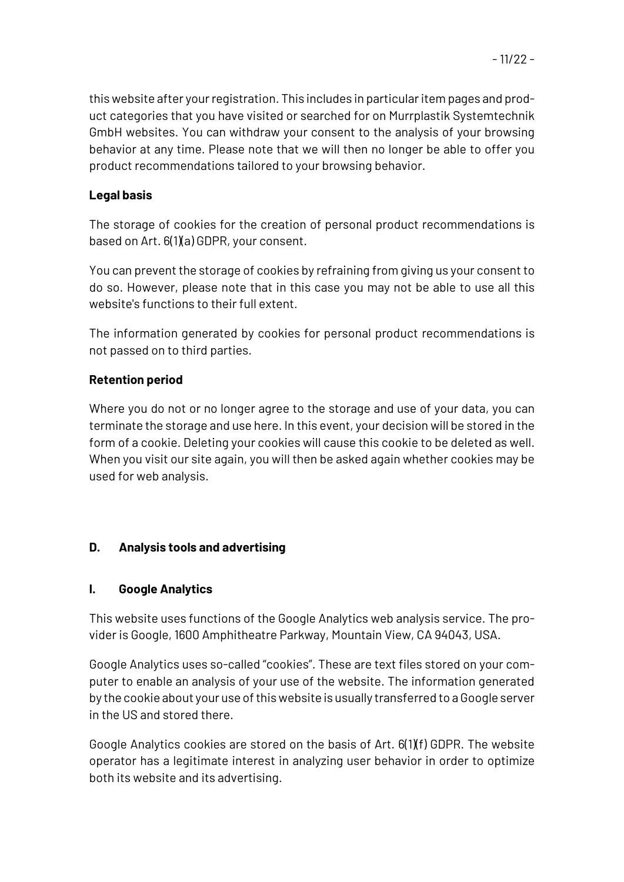# **Legal basis**

The storage of cookies for the creation of personal product recommendations is based on Art. 6(1)(a) GDPR, your consent.

You can prevent the storage of cookies by refraining from giving us your consent to do so. However, please note that in this case you may not be able to use all this website's functions to their full extent.

The information generated by cookies for personal product recommendations is not passed on to third parties.

# **Retention period**

Where you do not or no longer agree to the storage and use of your data, you can terminate the storage and use here. In this event, your decision will be stored in the form of a cookie. Deleting your cookies will cause this cookie to be deleted as well. When you visit our site again, you will then be asked again whether cookies may be used for web analysis.

# **D. Analysis tools and advertising**

# **I. Google Analytics**

This website uses functions of the Google Analytics web analysis service. The provider is Google, 1600 Amphitheatre Parkway, Mountain View, CA 94043, USA.

Google Analytics uses so-called "cookies". These are text files stored on your computer to enable an analysis of your use of the website. The information generated by the cookie about your use of this website is usually transferred to a Google server in the US and stored there.

Google Analytics cookies are stored on the basis of Art. 6(1)(f) GDPR. The website operator has a legitimate interest in analyzing user behavior in order to optimize both its website and its advertising.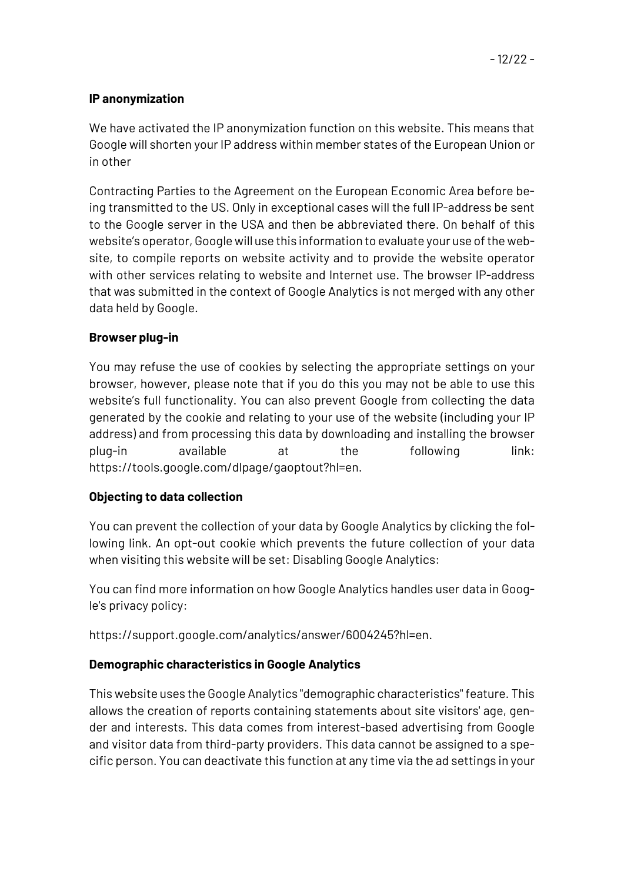### **IP anonymization**

We have activated the IP anonymization function on this website. This means that Google will shorten your IP address within member states of the European Union or in other

Contracting Parties to the Agreement on the European Economic Area before being transmitted to the US. Only in exceptional cases will the full IP-address be sent to the Google server in the USA and then be abbreviated there. On behalf of this website's operator, Google will use this information to evaluate your use of the website, to compile reports on website activity and to provide the website operator with other services relating to website and Internet use. The browser IP-address that was submitted in the context of Google Analytics is not merged with any other data held by Google.

#### **Browser plug-in**

You may refuse the use of cookies by selecting the appropriate settings on your browser, however, please note that if you do this you may not be able to use this website's full functionality. You can also prevent Google from collecting the data generated by the cookie and relating to your use of the website (including your IP address) and from processing this data by downloading and installing the browser plug-in available at the following link: https://tools.google.com/dlpage/gaoptout?hl=en.

### **Objecting to data collection**

You can prevent the collection of your data by Google Analytics by clicking the following link. An opt-out cookie which prevents the future collection of your data when visiting this website will be set: Disabling Google Analytics:

You can find more information on how Google Analytics handles user data in Google's privacy policy:

https://support.google.com/analytics/answer/6004245?hl=en.

### **Demographic characteristics in Google Analytics**

This website uses the Google Analytics "demographic characteristics" feature. This allows the creation of reports containing statements about site visitors' age, gender and interests. This data comes from interest-based advertising from Google and visitor data from third-party providers. This data cannot be assigned to a specific person. You can deactivate this function at any time via the ad settings in your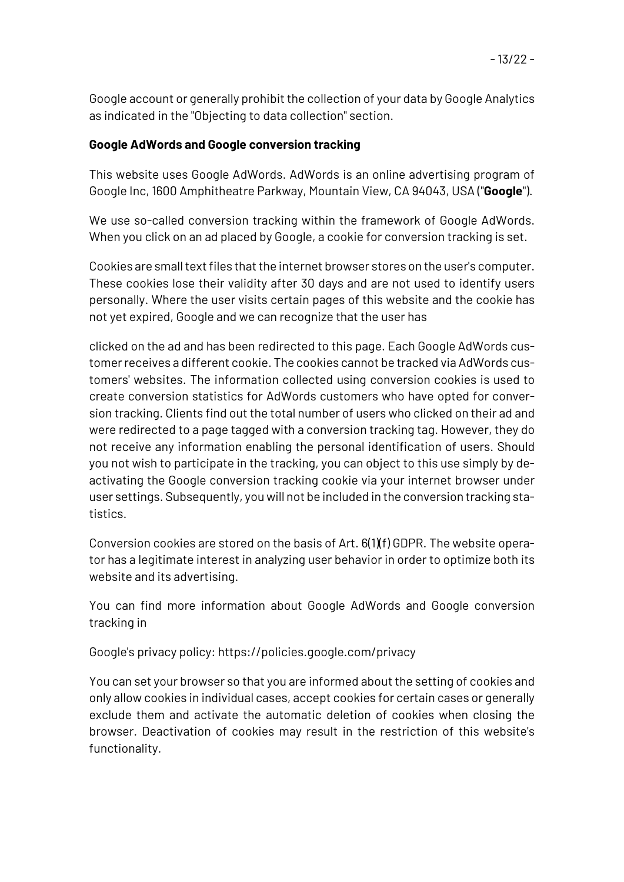Google account or generally prohibit the collection of your data by Google Analytics as indicated in the "Objecting to data collection" section.

### **Google AdWords and Google conversion tracking**

This website uses Google AdWords. AdWords is an online advertising program of Google Inc, 1600 Amphitheatre Parkway, Mountain View, CA 94043, USA ("**Google**").

We use so-called conversion tracking within the framework of Google AdWords. When you click on an ad placed by Google, a cookie for conversion tracking is set.

Cookies are small text files that the internet browser stores on the user's computer. These cookies lose their validity after 30 days and are not used to identify users personally. Where the user visits certain pages of this website and the cookie has not yet expired, Google and we can recognize that the user has

clicked on the ad and has been redirected to this page. Each Google AdWords customer receives a different cookie. The cookies cannot be tracked via AdWords customers' websites. The information collected using conversion cookies is used to create conversion statistics for AdWords customers who have opted for conversion tracking. Clients find out the total number of users who clicked on their ad and were redirected to a page tagged with a conversion tracking tag. However, they do not receive any information enabling the personal identification of users. Should you not wish to participate in the tracking, you can object to this use simply by deactivating the Google conversion tracking cookie via your internet browser under user settings. Subsequently, you will not be included in the conversion tracking statistics.

Conversion cookies are stored on the basis of Art. 6(1)(f) GDPR. The website operator has a legitimate interest in analyzing user behavior in order to optimize both its website and its advertising.

You can find more information about Google AdWords and Google conversion tracking in

Google's privacy policy: https://policies.google.com/privacy

You can set your browser so that you are informed about the setting of cookies and only allow cookies in individual cases, accept cookies for certain cases or generally exclude them and activate the automatic deletion of cookies when closing the browser. Deactivation of cookies may result in the restriction of this website's functionality.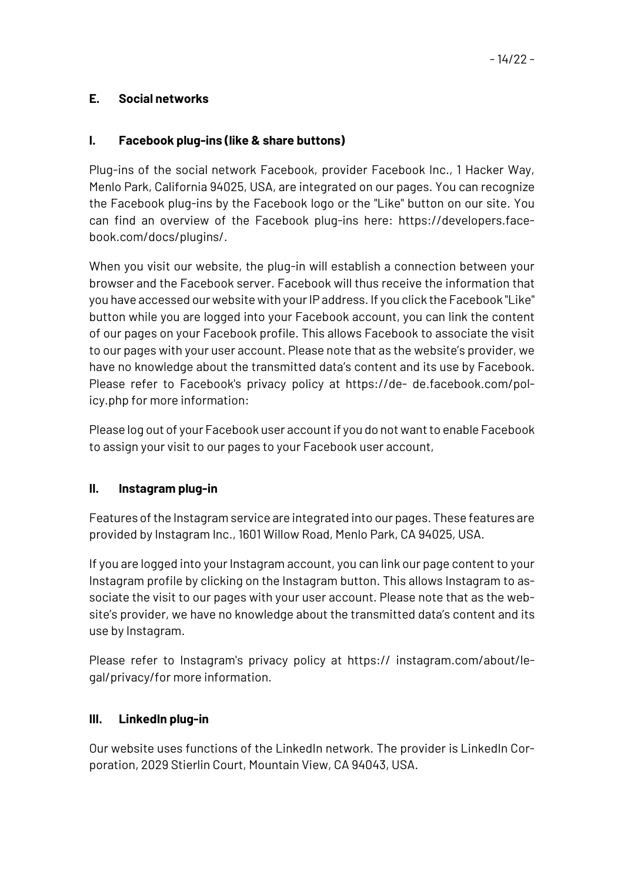### **E. Social networks**

#### **I. Facebook plug-ins (like & share buttons)**

Plug-ins of the social network Facebook, provider Facebook Inc., 1 Hacker Way, Menlo Park, California 94025, USA, are integrated on our pages. You can recognize the Facebook plug-ins by the Facebook logo or the "Like" button on our site. You can find an overview of the Facebook plug-ins here: https://developers.facebook.com/docs/plugins/.

When you visit our website, the plug-in will establish a connection between your browser and the Facebook server. Facebook will thus receive the information that you have accessed our website with your IP address. If you click the Facebook "Like" button while you are logged into your Facebook account, you can link the content of our pages on your Facebook profile. This allows Facebook to associate the visit to our pages with your user account. Please note that as the website's provider, we have no knowledge about the transmitted data's content and its use by Facebook. Please refer to Facebook's privacy policy at https://de- de.facebook.com/policy.php for more information:

Please log out of your Facebook user account if you do not want to enable Facebook to assign your visit to our pages to your Facebook user account,

#### **II. Instagram plug-in**

Features of the Instagram service are integrated into our pages. These features are provided by Instagram Inc., 1601 Willow Road, Menlo Park, CA 94025, USA.

If you are logged into your Instagram account, you can link our page content to your Instagram profile by clicking on the Instagram button. This allows Instagram to associate the visit to our pages with your user account. Please note that as the website's provider, we have no knowledge about the transmitted data's content and its use by Instagram.

Please refer to Instagram's privacy policy at https:// instagram.com/about/legal/privacy/for more information.

#### **III. LinkedIn plug-in**

Our website uses functions of the LinkedIn network. The provider is LinkedIn Corporation, 2029 Stierlin Court, Mountain View, CA 94043, USA.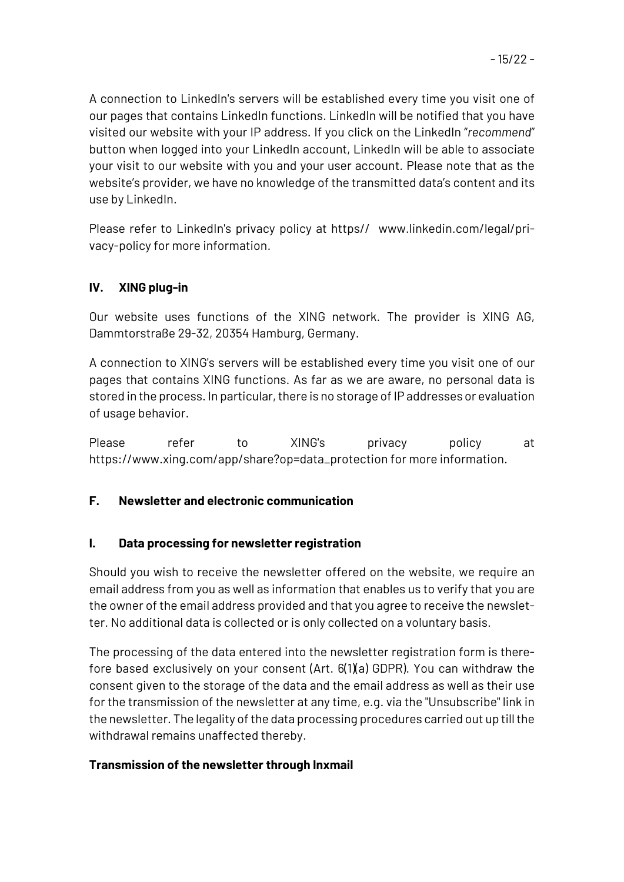A connection to LinkedIn's servers will be established every time you visit one of our pages that contains LinkedIn functions. LinkedIn will be notified that you have visited our website with your IP address. If you click on the LinkedIn "*recommend*" button when logged into your LinkedIn account, LinkedIn will be able to associate your visit to our website with you and your user account. Please note that as the website's provider, we have no knowledge of the transmitted data's content and its use by LinkedIn.

Please refer to LinkedIn's privacy policy at https// www.linkedin.com/legal/privacy-policy for more information.

## **IV. XING plug-in**

Our website uses functions of the XING network. The provider is XING AG, Dammtorstraße 29-32, 20354 Hamburg, Germany.

A connection to XING's servers will be established every time you visit one of our pages that contains XING functions. As far as we are aware, no personal data is stored in the process. In particular, there is no storage of IP addresses or evaluation of usage behavior.

Please refer to XING's privacy policy at https://www.xing.com/app/share?op=data\_protection for more information.

### **F. Newsletter and electronic communication**

#### **I. Data processing for newsletter registration**

Should you wish to receive the newsletter offered on the website, we require an email address from you as well as information that enables us to verify that you are the owner of the email address provided and that you agree to receive the newsletter. No additional data is collected or is only collected on a voluntary basis.

The processing of the data entered into the newsletter registration form is therefore based exclusively on your consent (Art. 6(1)(a) GDPR). You can withdraw the consent given to the storage of the data and the email address as well as their use for the transmission of the newsletter at any time, e.g. via the "Unsubscribe" link in the newsletter. The legality of the data processing procedures carried out up till the withdrawal remains unaffected thereby.

### **Transmission of the newsletter through Inxmail**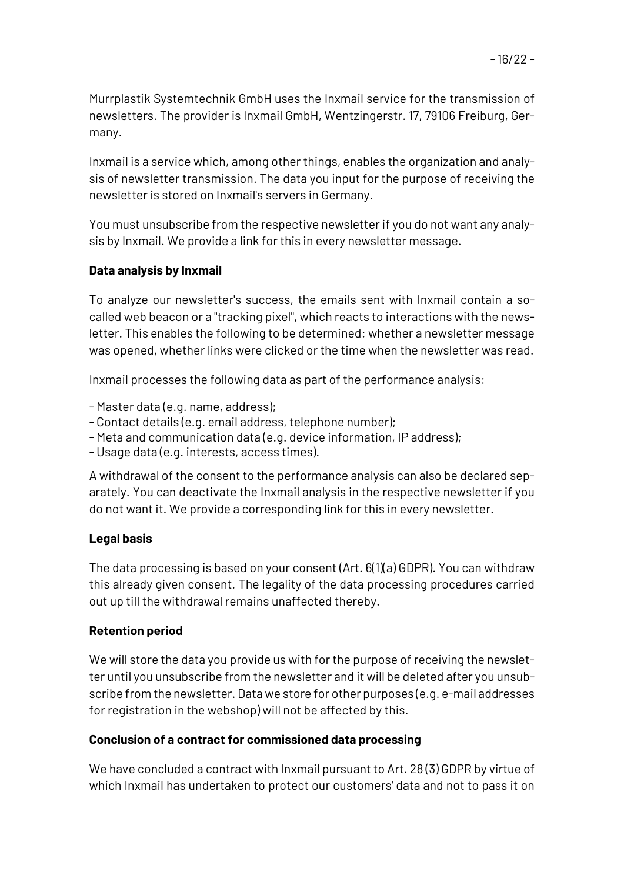Murrplastik Systemtechnik GmbH uses the Inxmail service for the transmission of newsletters. The provider is Inxmail GmbH, Wentzingerstr. 17, 79106 Freiburg, Germany.

Inxmail is a service which, among other things, enables the organization and analysis of newsletter transmission. The data you input for the purpose of receiving the newsletter is stored on Inxmail's servers in Germany.

You must unsubscribe from the respective newsletter if you do not want any analysis by Inxmail. We provide a link for this in every newsletter message.

## **Data analysis by Inxmail**

To analyze our newsletter's success, the emails sent with Inxmail contain a socalled web beacon or a "tracking pixel", which reacts to interactions with the newsletter. This enables the following to be determined: whether a newsletter message was opened, whether links were clicked or the time when the newsletter was read.

Inxmail processes the following data as part of the performance analysis:

- Master data (e.g. name, address);
- Contact details (e.g. email address, telephone number);
- Meta and communication data (e.g. device information, IP address);
- Usage data (e.g. interests, access times).

A withdrawal of the consent to the performance analysis can also be declared separately. You can deactivate the Inxmail analysis in the respective newsletter if you do not want it. We provide a corresponding link for this in every newsletter.

### **Legal basis**

The data processing is based on your consent (Art. 6(1)(a) GDPR). You can withdraw this already given consent. The legality of the data processing procedures carried out up till the withdrawal remains unaffected thereby.

### **Retention period**

We will store the data you provide us with for the purpose of receiving the newsletter until you unsubscribe from the newsletter and it will be deleted after you unsubscribe from the newsletter. Data we store for other purposes (e.g. e-mail addresses for registration in the webshop) will not be affected by this.

### **Conclusion of a contract for commissioned data processing**

We have concluded a contract with Inxmail pursuant to Art. 28 (3) GDPR by virtue of which Inxmail has undertaken to protect our customers' data and not to pass it on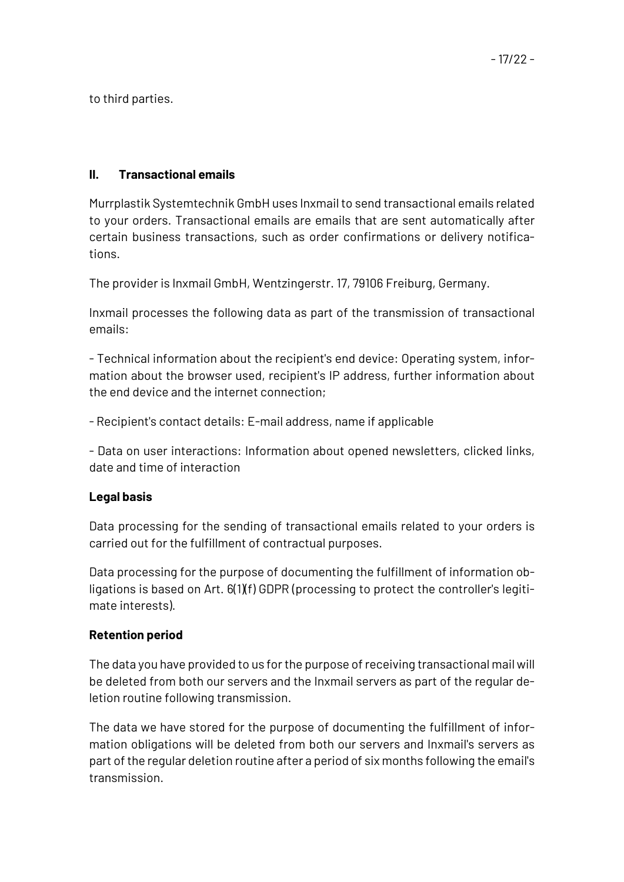to third parties.

### **II. Transactional emails**

Murrplastik Systemtechnik GmbH uses Inxmail to send transactional emails related to your orders. Transactional emails are emails that are sent automatically after certain business transactions, such as order confirmations or delivery notifications.

The provider is Inxmail GmbH, Wentzingerstr. 17, 79106 Freiburg, Germany.

Inxmail processes the following data as part of the transmission of transactional emails:

- Technical information about the recipient's end device: Operating system, information about the browser used, recipient's IP address, further information about the end device and the internet connection;

- Recipient's contact details: E-mail address, name if applicable

- Data on user interactions: Information about opened newsletters, clicked links, date and time of interaction

#### **Legal basis**

Data processing for the sending of transactional emails related to your orders is carried out for the fulfillment of contractual purposes.

Data processing for the purpose of documenting the fulfillment of information obligations is based on Art. 6(1)(f) GDPR (processing to protect the controller's legitimate interests).

### **Retention period**

The data you have provided to us for the purpose of receiving transactional mail will be deleted from both our servers and the Inxmail servers as part of the regular deletion routine following transmission.

The data we have stored for the purpose of documenting the fulfillment of information obligations will be deleted from both our servers and Inxmail's servers as part of the regular deletion routine after a period of six months following the email's transmission.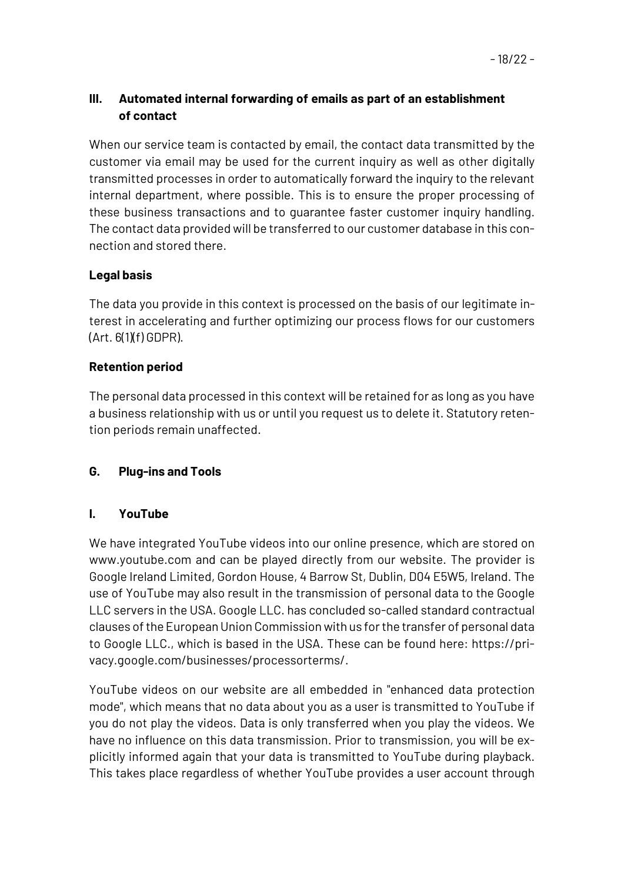## **III. Automated internal forwarding of emails as part of an establishment of contact**

When our service team is contacted by email, the contact data transmitted by the customer via email may be used for the current inquiry as well as other digitally transmitted processes in order to automatically forward the inquiry to the relevant internal department, where possible. This is to ensure the proper processing of these business transactions and to guarantee faster customer inquiry handling. The contact data provided will be transferred to our customer database in this connection and stored there.

## **Legal basis**

The data you provide in this context is processed on the basis of our legitimate interest in accelerating and further optimizing our process flows for our customers  $(Art. 6(1)(f) GDPR)$ .

## **Retention period**

The personal data processed in this context will be retained for as long as you have a business relationship with us or until you request us to delete it. Statutory retention periods remain unaffected.

# **G. Plug-ins and Tools**

### **I. YouTube**

We have integrated YouTube videos into our online presence, which are stored on www.youtube.com and can be played directly from our website. The provider is Google Ireland Limited, Gordon House, 4 Barrow St, Dublin, D04 E5W5, Ireland. The use of YouTube may also result in the transmission of personal data to the Google LLC servers in the USA. Google LLC. has concluded so-called standard contractual clauses of the European Union Commission with us for the transfer of personal data to Google LLC., which is based in the USA. These can be found here: https://privacy.google.com/businesses/processorterms/.

YouTube videos on our website are all embedded in "enhanced data protection mode", which means that no data about you as a user is transmitted to YouTube if you do not play the videos. Data is only transferred when you play the videos. We have no influence on this data transmission. Prior to transmission, you will be explicitly informed again that your data is transmitted to YouTube during playback. This takes place regardless of whether YouTube provides a user account through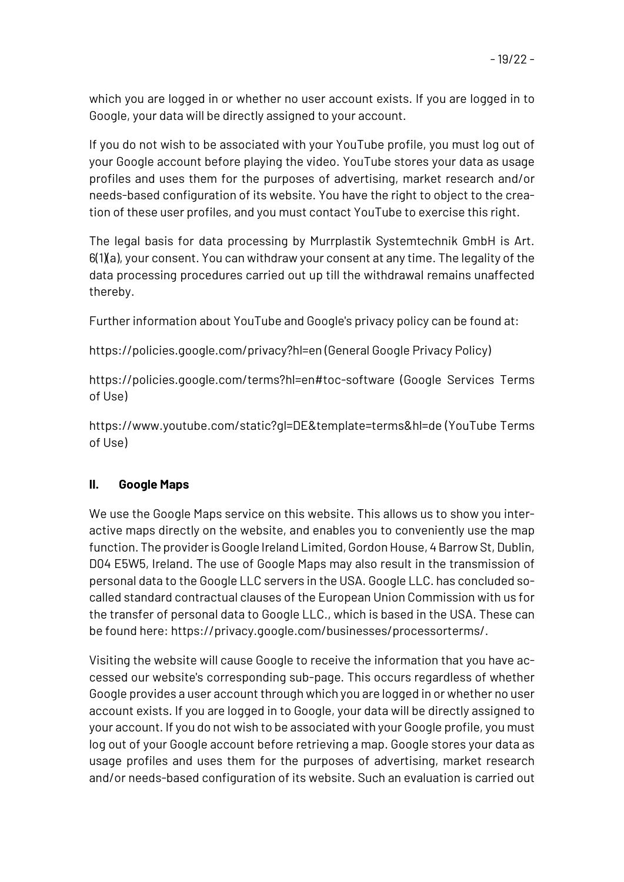which you are logged in or whether no user account exists. If you are logged in to Google, your data will be directly assigned to your account.

If you do not wish to be associated with your YouTube profile, you must log out of your Google account before playing the video. YouTube stores your data as usage profiles and uses them for the purposes of advertising, market research and/or needs-based configuration of its website. You have the right to object to the creation of these user profiles, and you must contact YouTube to exercise this right.

The legal basis for data processing by Murrplastik Systemtechnik GmbH is Art.  $6(1)(a)$ , your consent. You can withdraw your consent at any time. The legality of the data processing procedures carried out up till the withdrawal remains unaffected thereby.

Further information about YouTube and Google's privacy policy can be found at:

https://policies.google.com/privacy?hl=en (General Google Privacy Policy)

https://policies.google.com/terms?hl=en#toc-software (Google Services Terms of Use)

https://www.youtube.com/static?gl=DE&template=terms&hl=de (YouTube Terms of Use)

# **II. Google Maps**

We use the Google Maps service on this website. This allows us to show you interactive maps directly on the website, and enables you to conveniently use the map function. The provider is Google Ireland Limited, Gordon House, 4 Barrow St, Dublin, D04 E5W5, Ireland. The use of Google Maps may also result in the transmission of personal data to the Google LLC servers in the USA. Google LLC. has concluded socalled standard contractual clauses of the European Union Commission with us for the transfer of personal data to Google LLC., which is based in the USA. These can be found here: https://privacy.google.com/businesses/processorterms/.

Visiting the website will cause Google to receive the information that you have accessed our website's corresponding sub-page. This occurs regardless of whether Google provides a user account through which you are logged in or whether no user account exists. If you are logged in to Google, your data will be directly assigned to your account. If you do not wish to be associated with your Google profile, you must log out of your Google account before retrieving a map. Google stores your data as usage profiles and uses them for the purposes of advertising, market research and/or needs-based configuration of its website. Such an evaluation is carried out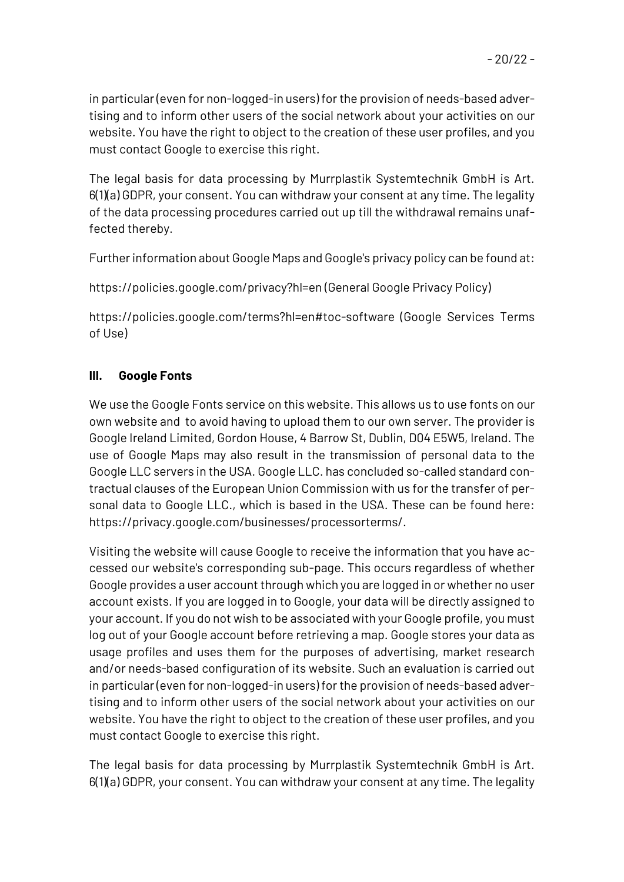in particular (even for non-logged-in users) for the provision of needs-based advertising and to inform other users of the social network about your activities on our website. You have the right to object to the creation of these user profiles, and you must contact Google to exercise this right.

The legal basis for data processing by Murrplastik Systemtechnik GmbH is Art. 6(1)(a) GDPR, your consent. You can withdraw your consent at any time. The legality of the data processing procedures carried out up till the withdrawal remains unaffected thereby.

Further information about Google Maps and Google's privacy policy can be found at:

https://policies.google.com/privacy?hl=en (General Google Privacy Policy)

https://policies.google.com/terms?hl=en#toc-software (Google Services Terms of Use)

# **III. Google Fonts**

We use the Google Fonts service on this website. This allows us to use fonts on our own website and to avoid having to upload them to our own server. The provider is Google Ireland Limited, Gordon House, 4 Barrow St, Dublin, D04 E5W5, Ireland. The use of Google Maps may also result in the transmission of personal data to the Google LLC servers in the USA. Google LLC. has concluded so-called standard contractual clauses of the European Union Commission with us for the transfer of personal data to Google LLC., which is based in the USA. These can be found here: https://privacy.google.com/businesses/processorterms/.

Visiting the website will cause Google to receive the information that you have accessed our website's corresponding sub-page. This occurs regardless of whether Google provides a user account through which you are logged in or whether no user account exists. If you are logged in to Google, your data will be directly assigned to your account. If you do not wish to be associated with your Google profile, you must log out of your Google account before retrieving a map. Google stores your data as usage profiles and uses them for the purposes of advertising, market research and/or needs-based configuration of its website. Such an evaluation is carried out in particular (even for non-logged-in users) for the provision of needs-based advertising and to inform other users of the social network about your activities on our website. You have the right to object to the creation of these user profiles, and you must contact Google to exercise this right.

The legal basis for data processing by Murrplastik Systemtechnik GmbH is Art. 6(1)(a) GDPR, your consent. You can withdraw your consent at any time. The legality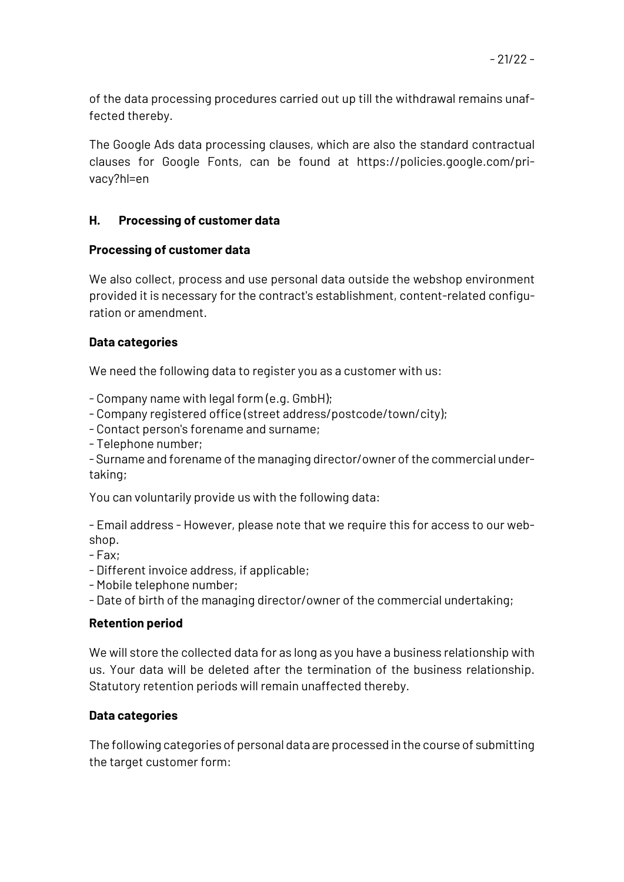of the data processing procedures carried out up till the withdrawal remains unaffected thereby.

The Google Ads data processing clauses, which are also the standard contractual clauses for Google Fonts, can be found at https://policies.google.com/privacy?hl=en

### **H. Processing of customer data**

### **Processing of customer data**

We also collect, process and use personal data outside the webshop environment provided it is necessary for the contract's establishment, content-related configuration or amendment.

## **Data categories**

We need the following data to register you as a customer with us:

- Company name with legal form (e.g. GmbH);

- Company registered office (street address/postcode/town/city);

- Contact person's forename and surname;

- Telephone number;

- Surname and forename of the managing director/owner of the commercial undertaking;

You can voluntarily provide us with the following data:

- Email address - However, please note that we require this for access to our webshop.

- Fax;

- Different invoice address, if applicable;

- Mobile telephone number;

- Date of birth of the managing director/owner of the commercial undertaking;

### **Retention period**

We will store the collected data for as long as you have a business relationship with us. Your data will be deleted after the termination of the business relationship. Statutory retention periods will remain unaffected thereby.

# **Data categories**

The following categories of personal data are processed in the course of submitting the target customer form: